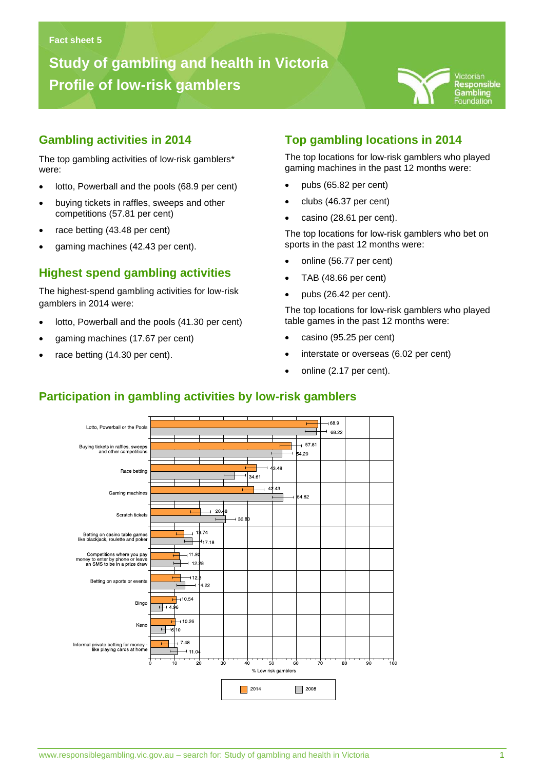# **Study of gambling and health in Victoria Profile of low-risk gamblers**



#### **Gambling activities in 2014**

The top gambling activities of low-risk gamblers\* were:

**Gambling problems in Victoria**

- lotto, Powerball and the pools (68.9 per cent)
- buying tickets in raffles, sweeps and other competitions (57.81 per cent)
- race betting (43.48 per cent)
- gaming machines (42.43 per cent).

### **Highest spend gambling activities**

The highest-spend gambling activities for low-risk gamblers in 2014 were:

- lotto, Powerball and the pools (41.30 per cent)
- gaming machines (17.67 per cent)
- race betting (14.30 per cent).

# **Top gambling locations in 2014**

The top locations for low-risk gamblers who played gaming machines in the past 12 months were:

- pubs (65.82 per cent)
- clubs (46.37 per cent)
- casino (28.61 per cent).

The top locations for low-risk gamblers who bet on sports in the past 12 months were:

- online (56.77 per cent)
- TAB (48.66 per cent)
- $\bullet$  pubs (26.42 per cent).

The top locations for low-risk gamblers who played table games in the past 12 months were:

- casino (95.25 per cent)
- interstate or overseas (6.02 per cent)
- online (2.17 per cent).



## **Participation in gambling activities by low-risk gamblers**